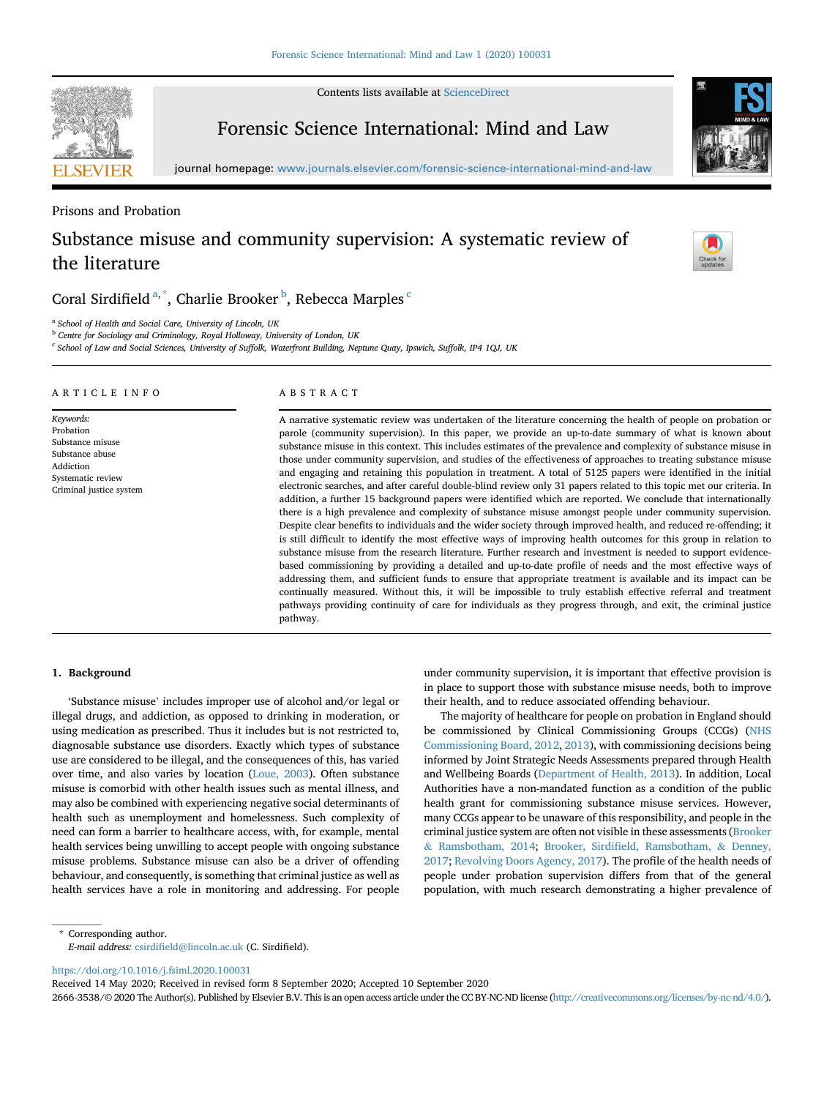Contents lists available at [ScienceDirect](www.sciencedirect.com/science/journal/26663538)

# Forensic Science International: Mind and Law

journal homepage: <www.journals.elsevier.com/forensic-science-international-mind-and-law>

Prisons and Probation

# Substance misuse and community supervision: A systematic review of the literature

Cor[a](#page-0-0)l Sirdifield  $a^*$  $a^*$ , Charlie Brooker  $^{\rm b}$  $^{\rm b}$  $^{\rm b}$ , Rebe[c](#page-0-3)ca Marples  $^{\rm c}$ 

<span id="page-0-0"></span><sup>a</sup> School of Health and Social Care, University of Lincoln, UK

<span id="page-0-2"></span>**b Centre for Sociology and Criminology, Royal Holloway, University of London, UK** 

<span id="page-0-3"></span><sup>c</sup> School of Law and Social Sciences, University of Suffolk, Waterfront Building, Neptune Quay, Ipswich, Suffolk, IP4 1QJ, UK

## ARTICLE INFO

Keywords: Probation Substance misuse Substance abuse Addiction Systematic review Criminal justice system

# ABSTRACT

A narrative systematic review was undertaken of the literature concerning the health of people on probation or parole (community supervision). In this paper, we provide an up-to-date summary of what is known about substance misuse in this context. This includes estimates of the prevalence and complexity of substance misuse in those under community supervision, and studies of the effectiveness of approaches to treating substance misuse and engaging and retaining this population in treatment. A total of 5125 papers were identified in the initial electronic searches, and after careful double-blind review only 31 papers related to this topic met our criteria. In addition, a further 15 background papers were identified which are reported. We conclude that internationally there is a high prevalence and complexity of substance misuse amongst people under community supervision. Despite clear benefits to individuals and the wider society through improved health, and reduced re-offending; it is still difficult to identify the most effective ways of improving health outcomes for this group in relation to substance misuse from the research literature. Further research and investment is needed to support evidencebased commissioning by providing a detailed and up-to-date profile of needs and the most effective ways of addressing them, and sufficient funds to ensure that appropriate treatment is available and its impact can be continually measured. Without this, it will be impossible to truly establish effective referral and treatment pathways providing continuity of care for individuals as they progress through, and exit, the criminal justice pathway.

# 1. Background

'Substance misuse' includes improper use of alcohol and/or legal or illegal drugs, and addiction, as opposed to drinking in moderation, or using medication as prescribed. Thus it includes but is not restricted to, diagnosable substance use disorders. Exactly which types of substance use are considered to be illegal, and the consequences of this, has varied over time, and also varies by location ([Loue, 2003](#page-10-0)). Often substance misuse is comorbid with other health issues such as mental illness, and may also be combined with experiencing negative social determinants of health such as unemployment and homelessness. Such complexity of need can form a barrier to healthcare access, with, for example, mental health services being unwilling to accept people with ongoing substance misuse problems. Substance misuse can also be a driver of offending behaviour, and consequently, is something that criminal justice as well as health services have a role in monitoring and addressing. For people

under community supervision, it is important that effective provision is in place to support those with substance misuse needs, both to improve their health, and to reduce associated offending behaviour.

The majority of healthcare for people on probation in England should be commissioned by Clinical Commissioning Groups (CCGs) ([NHS](#page-10-1) [Commissioning Board, 2012](#page-10-1), [2013](#page-10-2)), with commissioning decisions being informed by Joint Strategic Needs Assessments prepared through Health and Wellbeing Boards [\(Department of Health, 2013](#page-10-3)). In addition, Local Authorities have a non-mandated function as a condition of the public health grant for commissioning substance misuse services. However, many CCGs appear to be unaware of this responsibility, and people in the criminal justice system are often not visible in these assessments ([Brooker](#page-9-0) & [Ramsbotham, 2014](#page-9-0); Brooker, Sirdifi[eld, Ramsbotham,](#page-9-1) & [Denney,](#page-9-1) [2017;](#page-9-1) [Revolving Doors Agency, 2017\)](#page-10-4). The profile of the health needs of people under probation supervision differs from that of the general population, with much research demonstrating a higher prevalence of

<span id="page-0-1"></span>\* Corresponding author. E-mail address: csirdifi[eld@lincoln.ac.uk](mailto:csirdifield@lincoln.ac.uk) (C. Sirdifield).

<https://doi.org/10.1016/j.fsiml.2020.100031>

Received 14 May 2020; Received in revised form 8 September 2020; Accepted 10 September 2020

2666-3538/© 2020 The Author(s). Published by Elsevier B.V. This is an open access article under the CC BY-NC-ND license [\(http://creativecommons.org/licenses/by-nc-nd/4.0/](http://creativecommons.org/licenses/by-nc-nd/4.0/)).





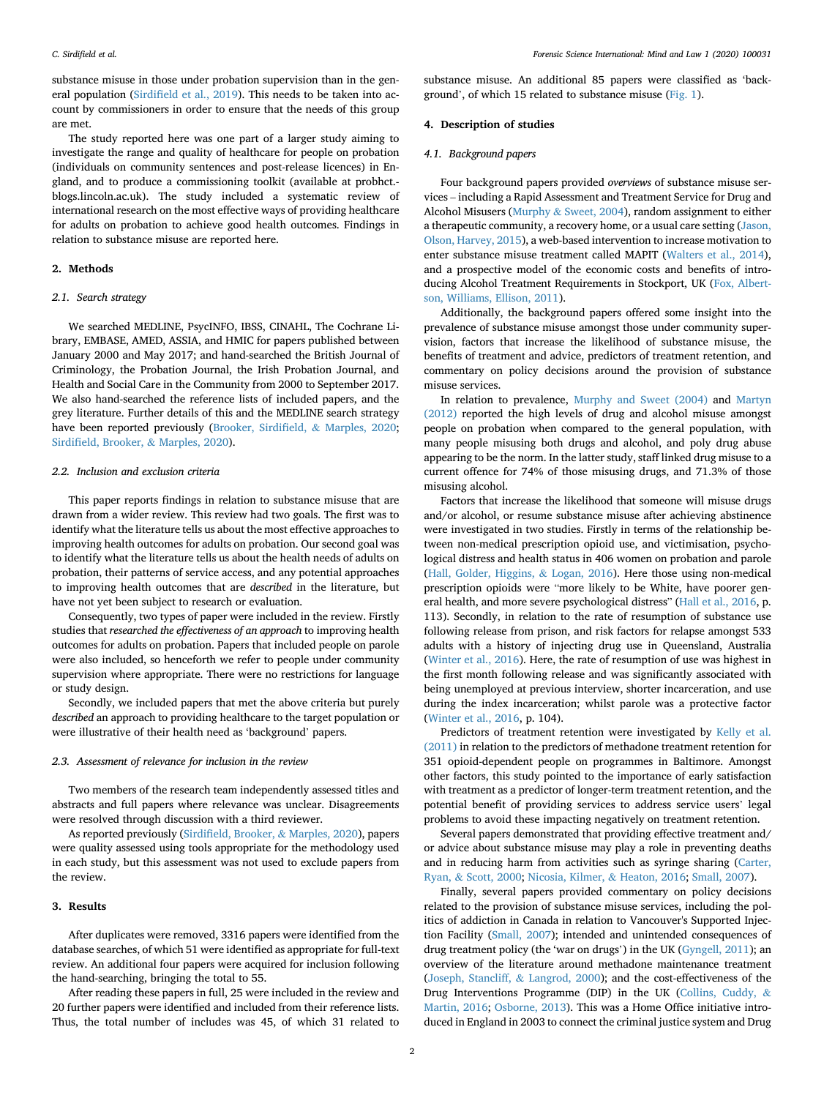substance misuse in those under probation supervision than in the general population (Sirdifi[eld et al., 2019\)](#page-10-5). This needs to be taken into account by commissioners in order to ensure that the needs of this group are met.

The study reported here was one part of a larger study aiming to investigate the range and quality of healthcare for people on probation (individuals on community sentences and post-release licences) in England, and to produce a commissioning toolkit (available at probhct. blogs.lincoln.ac.uk). The study included a systematic review of international research on the most effective ways of providing healthcare for adults on probation to achieve good health outcomes. Findings in relation to substance misuse are reported here.

#### 2. Methods

#### 2.1. Search strategy

We searched MEDLINE, PsycINFO, IBSS, CINAHL, The Cochrane Library, EMBASE, AMED, ASSIA, and HMIC for papers published between January 2000 and May 2017; and hand-searched the British Journal of Criminology, the Probation Journal, the Irish Probation Journal, and Health and Social Care in the Community from 2000 to September 2017. We also hand-searched the reference lists of included papers, and the grey literature. Further details of this and the MEDLINE search strategy have been reported previously [\(Brooker, Sirdi](#page-9-2)field, & [Marples, 2020;](#page-9-2) Sirdifi[eld, Brooker,](#page-10-6) & [Marples, 2020](#page-10-6)).

#### 2.2. Inclusion and exclusion criteria

This paper reports findings in relation to substance misuse that are drawn from a wider review. This review had two goals. The first was to identify what the literature tells us about the most effective approaches to improving health outcomes for adults on probation. Our second goal was to identify what the literature tells us about the health needs of adults on probation, their patterns of service access, and any potential approaches to improving health outcomes that are described in the literature, but have not yet been subject to research or evaluation.

Consequently, two types of paper were included in the review. Firstly studies that researched the effectiveness of an approach to improving health outcomes for adults on probation. Papers that included people on parole were also included, so henceforth we refer to people under community supervision where appropriate. There were no restrictions for language or study design.

Secondly, we included papers that met the above criteria but purely described an approach to providing healthcare to the target population or were illustrative of their health need as 'background' papers.

## 2.3. Assessment of relevance for inclusion in the review

Two members of the research team independently assessed titles and abstracts and full papers where relevance was unclear. Disagreements were resolved through discussion with a third reviewer.

As reported previously (Sirdifi[eld, Brooker,](#page-10-5) & [Marples, 2020\)](#page-10-5), papers were quality assessed using tools appropriate for the methodology used in each study, but this assessment was not used to exclude papers from the review.

#### 3. Results

After duplicates were removed, 3316 papers were identified from the database searches, of which 51 were identified as appropriate for full-text review. An additional four papers were acquired for inclusion following the hand-searching, bringing the total to 55.

After reading these papers in full, 25 were included in the review and 20 further papers were identified and included from their reference lists. Thus, the total number of includes was 45, of which 31 related to

substance misuse. An additional 85 papers were classified as 'background', of which 15 related to substance misuse [\(Fig. 1](#page-2-0)).

# 4. Description of studies

# 4.1. Background papers

Four background papers provided overviews of substance misuse services – including a Rapid Assessment and Treatment Service for Drug and Alcohol Misusers ([Murphy](#page-10-7) & [Sweet, 2004](#page-10-7)), random assignment to either a therapeutic community, a recovery home, or a usual care setting ([Jason,](#page-10-8) [Olson, Harvey, 2015](#page-10-8)), a web-based intervention to increase motivation to enter substance misuse treatment called MAPIT ([Walters et al., 2014\)](#page-10-9), and a prospective model of the economic costs and benefits of introducing Alcohol Treatment Requirements in Stockport, UK [\(Fox, Albert](#page-10-10)[son, Williams, Ellison, 2011](#page-10-10)).

Additionally, the background papers offered some insight into the prevalence of substance misuse amongst those under community supervision, factors that increase the likelihood of substance misuse, the benefits of treatment and advice, predictors of treatment retention, and commentary on policy decisions around the provision of substance misuse services.

In relation to prevalence, [Murphy and Sweet \(2004\)](#page-10-7) and [Martyn](#page-10-11) [\(2012\)](#page-10-11) reported the high levels of drug and alcohol misuse amongst people on probation when compared to the general population, with many people misusing both drugs and alcohol, and poly drug abuse appearing to be the norm. In the latter study, staff linked drug misuse to a current offence for 74% of those misusing drugs, and 71.3% of those misusing alcohol.

Factors that increase the likelihood that someone will misuse drugs and/or alcohol, or resume substance misuse after achieving abstinence were investigated in two studies. Firstly in terms of the relationship between non-medical prescription opioid use, and victimisation, psychological distress and health status in 406 women on probation and parole ([Hall, Golder, Higgins,](#page-10-12) & [Logan, 2016](#page-10-12)). Here those using non-medical prescription opioids were "more likely to be White, have poorer general health, and more severe psychological distress" [\(Hall et al., 2016,](#page-10-12) p. 113). Secondly, in relation to the rate of resumption of substance use following release from prison, and risk factors for relapse amongst 533 adults with a history of injecting drug use in Queensland, Australia ([Winter et al., 2016](#page-10-13)). Here, the rate of resumption of use was highest in the first month following release and was significantly associated with being unemployed at previous interview, shorter incarceration, and use during the index incarceration; whilst parole was a protective factor ([Winter et al., 2016,](#page-10-13) p. 104).

Predictors of treatment retention were investigated by [Kelly et al.](#page-10-14) [\(2011\)](#page-10-14) in relation to the predictors of methadone treatment retention for 351 opioid-dependent people on programmes in Baltimore. Amongst other factors, this study pointed to the importance of early satisfaction with treatment as a predictor of longer-term treatment retention, and the potential benefit of providing services to address service users' legal problems to avoid these impacting negatively on treatment retention.

Several papers demonstrated that providing effective treatment and/ or advice about substance misuse may play a role in preventing deaths and in reducing harm from activities such as syringe sharing ([Carter,](#page-9-3) [Ryan,](#page-9-3) & [Scott, 2000](#page-9-3); [Nicosia, Kilmer,](#page-10-15) & [Heaton, 2016;](#page-10-15) [Small, 2007](#page-10-16)).

Finally, several papers provided commentary on policy decisions related to the provision of substance misuse services, including the politics of addiction in Canada in relation to Vancouver's Supported Injection Facility ([Small, 2007\)](#page-10-16); intended and unintended consequences of drug treatment policy (the 'war on drugs') in the UK [\(Gyngell, 2011\)](#page-10-17); an overview of the literature around methadone maintenance treatment ([Joseph, Stancliff,](#page-10-18) & [Langrod, 2000](#page-10-18)); and the cost-effectiveness of the Drug Interventions Programme (DIP) in the UK ([Collins, Cuddy,](#page-10-19) & [Martin, 2016;](#page-10-19) [Osborne, 2013](#page-10-20)). This was a Home Office initiative introduced in England in 2003 to connect the criminal justice system and Drug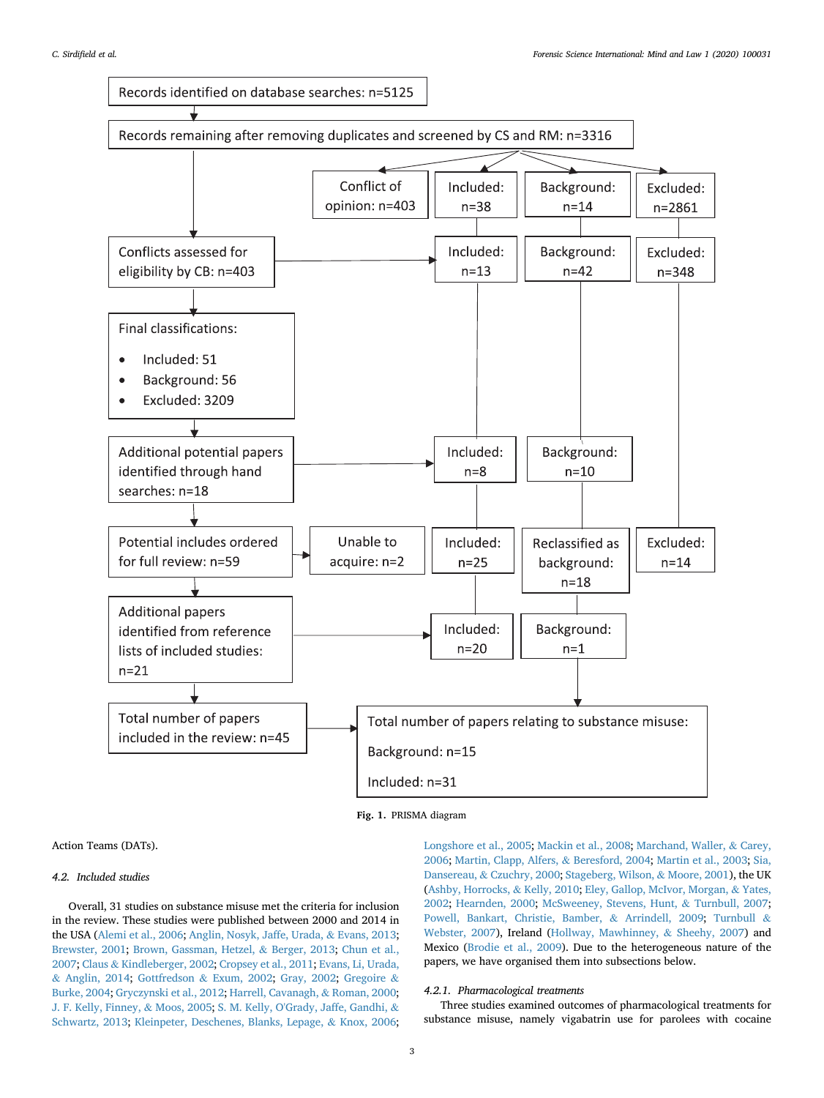<span id="page-2-0"></span>

Fig. 1. PRISMA diagram

Action Teams (DATs).

# 4.2. Included studies

Overall, 31 studies on substance misuse met the criteria for inclusion in the review. These studies were published between 2000 and 2014 in the USA ([Alemi et al., 2006;](#page-9-4) [Anglin, Nosyk, Jaffe, Urada,](#page-9-5) & [Evans, 2013;](#page-9-5) [Brewster, 2001](#page-9-6); [Brown, Gassman, Hetzel,](#page-9-7) & [Berger, 2013](#page-9-7); [Chun et al.,](#page-10-21) [2007;](#page-10-21) [Claus](#page-10-22) & [Kindleberger, 2002;](#page-10-22) [Cropsey et al., 2011;](#page-10-23) [Evans, Li, Urada,](#page-10-24) & [Anglin, 2014;](#page-10-24) [Gottfredson](#page-10-25) & [Exum, 2002](#page-10-25); [Gray, 2002](#page-10-26); [Gregoire](#page-10-27) & [Burke, 2004;](#page-10-27) [Gryczynski et al., 2012](#page-10-28); [Harrell, Cavanagh,](#page-10-29) & [Roman, 2000;](#page-10-29) [J. F. Kelly, Finney,](#page-10-30) & [Moos, 2005](#page-10-30); [S. M. Kelly, O'Grady, Jaffe, Gandhi,](#page-10-31) & [Schwartz, 2013](#page-10-31); [Kleinpeter, Deschenes, Blanks, Lepage,](#page-10-32) & [Knox, 2006;](#page-10-32) [Longshore et al., 2005](#page-10-33); [Mackin et al., 2008;](#page-10-34) [Marchand, Waller,](#page-10-35) & [Carey,](#page-10-35) [2006;](#page-10-35) [Martin, Clapp, Alfers,](#page-10-36) & [Beresford, 2004](#page-10-36); [Martin et al., 2003;](#page-10-37) [Sia,](#page-10-38) [Dansereau,](#page-10-38) & [Czuchry, 2000](#page-10-38); [Stageberg, Wilson,](#page-10-39) & [Moore, 2001](#page-10-39)), the UK ([Ashby, Horrocks,](#page-9-8) & [Kelly, 2010;](#page-9-8) [Eley, Gallop, McIvor, Morgan,](#page-10-40) & [Yates,](#page-10-40) [2002;](#page-10-40) [Hearnden, 2000;](#page-10-41) [McSweeney, Stevens, Hunt,](#page-10-42) & [Turnbull, 2007;](#page-10-42) [Powell, Bankart, Christie, Bamber,](#page-10-43) & [Arrindell, 2009;](#page-10-43) [Turnbull](#page-10-44) & [Webster, 2007\)](#page-10-44), Ireland [\(Hollway, Mawhinney,](#page-10-45) & [Sheehy, 2007](#page-10-45)) and Mexico [\(Brodie et al., 2009](#page-9-9)). Due to the heterogeneous nature of the papers, we have organised them into subsections below.

### 4.2.1. Pharmacological treatments

Three studies examined outcomes of pharmacological treatments for substance misuse, namely vigabatrin use for parolees with cocaine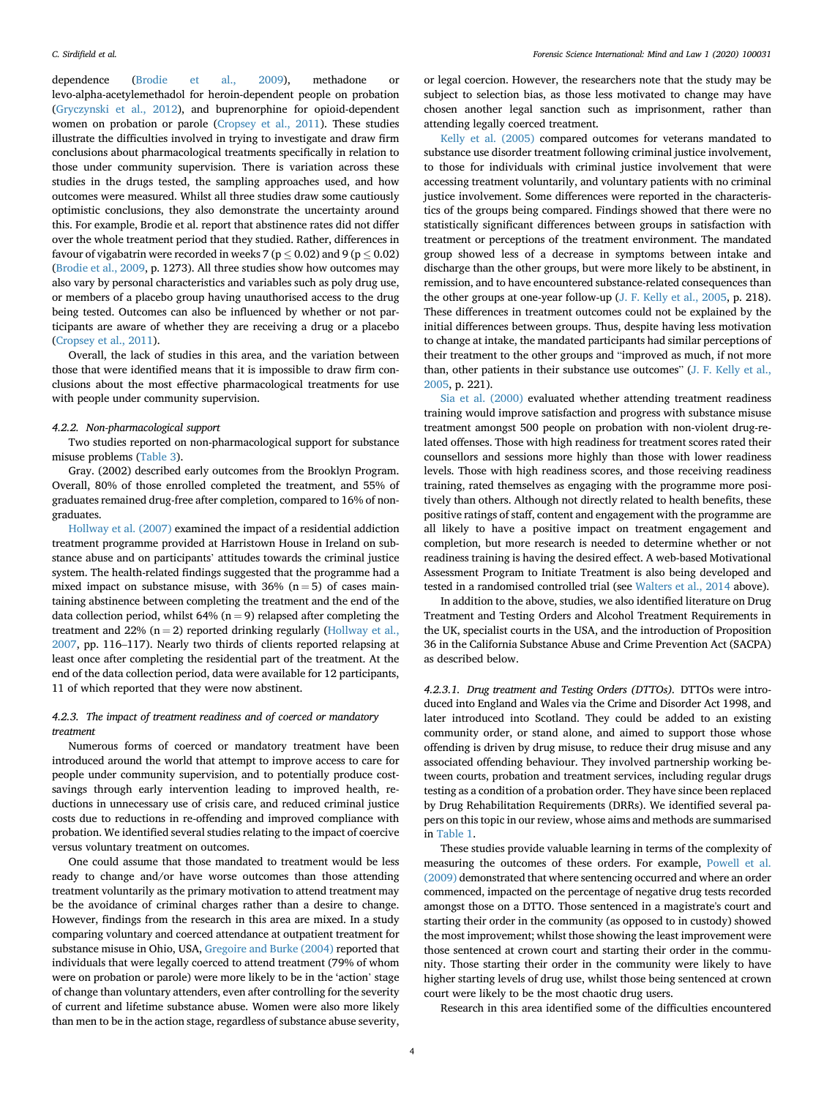dependence [\(Brodie et al., 2009\)](#page-9-9), methadone or levo-alpha-acetylemethadol for heroin-dependent people on probation ([Gryczynski et al., 2012](#page-10-28)), and buprenorphine for opioid-dependent women on probation or parole [\(Cropsey et al., 2011\)](#page-10-23). These studies illustrate the difficulties involved in trying to investigate and draw firm conclusions about pharmacological treatments specifically in relation to those under community supervision. There is variation across these studies in the drugs tested, the sampling approaches used, and how outcomes were measured. Whilst all three studies draw some cautiously optimistic conclusions, they also demonstrate the uncertainty around this. For example, Brodie et al. report that abstinence rates did not differ over the whole treatment period that they studied. Rather, differences in favour of vigabatrin were recorded in weeks 7 ( $p \le 0.02$ ) and 9 ( $p \le 0.02$ ) ([Brodie et al., 2009,](#page-9-9) p. 1273). All three studies show how outcomes may also vary by personal characteristics and variables such as poly drug use, or members of a placebo group having unauthorised access to the drug being tested. Outcomes can also be influenced by whether or not participants are aware of whether they are receiving a drug or a placebo ([Cropsey et al., 2011\)](#page-10-23).

Overall, the lack of studies in this area, and the variation between those that were identified means that it is impossible to draw firm conclusions about the most effective pharmacological treatments for use with people under community supervision.

# 4.2.2. Non-pharmacological support

Two studies reported on non-pharmacological support for substance misuse problems [\(Table 3\)](#page-6-0).

Gray. (2002) described early outcomes from the Brooklyn Program. Overall, 80% of those enrolled completed the treatment, and 55% of graduates remained drug-free after completion, compared to 16% of nongraduates.

[Hollway et al. \(2007\)](#page-10-45) examined the impact of a residential addiction treatment programme provided at Harristown House in Ireland on substance abuse and on participants' attitudes towards the criminal justice system. The health-related findings suggested that the programme had a mixed impact on substance misuse, with  $36\%$  (n = 5) of cases maintaining abstinence between completing the treatment and the end of the data collection period, whilst 64% ( $n = 9$ ) relapsed after completing the treatment and 22% ( $n = 2$ ) reported drinking regularly [\(Hollway et al.,](#page-10-45) [2007,](#page-10-45) pp. 116–117). Nearly two thirds of clients reported relapsing at least once after completing the residential part of the treatment. At the end of the data collection period, data were available for 12 participants, 11 of which reported that they were now abstinent.

# 4.2.3. The impact of treatment readiness and of coerced or mandatory treatment

Numerous forms of coerced or mandatory treatment have been introduced around the world that attempt to improve access to care for people under community supervision, and to potentially produce costsavings through early intervention leading to improved health, reductions in unnecessary use of crisis care, and reduced criminal justice costs due to reductions in re-offending and improved compliance with probation. We identified several studies relating to the impact of coercive versus voluntary treatment on outcomes.

One could assume that those mandated to treatment would be less ready to change and/or have worse outcomes than those attending treatment voluntarily as the primary motivation to attend treatment may be the avoidance of criminal charges rather than a desire to change. However, findings from the research in this area are mixed. In a study comparing voluntary and coerced attendance at outpatient treatment for substance misuse in Ohio, USA, [Gregoire and Burke \(2004\)](#page-10-27) reported that individuals that were legally coerced to attend treatment (79% of whom were on probation or parole) were more likely to be in the 'action' stage of change than voluntary attenders, even after controlling for the severity of current and lifetime substance abuse. Women were also more likely than men to be in the action stage, regardless of substance abuse severity,

or legal coercion. However, the researchers note that the study may be subject to selection bias, as those less motivated to change may have chosen another legal sanction such as imprisonment, rather than attending legally coerced treatment.

[Kelly et al. \(2005\)](#page-10-30) compared outcomes for veterans mandated to substance use disorder treatment following criminal justice involvement, to those for individuals with criminal justice involvement that were accessing treatment voluntarily, and voluntary patients with no criminal justice involvement. Some differences were reported in the characteristics of the groups being compared. Findings showed that there were no statistically significant differences between groups in satisfaction with treatment or perceptions of the treatment environment. The mandated group showed less of a decrease in symptoms between intake and discharge than the other groups, but were more likely to be abstinent, in remission, and to have encountered substance-related consequences than the other groups at one-year follow-up ([J. F. Kelly et al., 2005](#page-10-30), p. 218). These differences in treatment outcomes could not be explained by the initial differences between groups. Thus, despite having less motivation to change at intake, the mandated participants had similar perceptions of their treatment to the other groups and "improved as much, if not more than, other patients in their substance use outcomes" ([J. F. Kelly et al.,](#page-10-30) [2005,](#page-10-30) p. 221).

[Sia et al. \(2000\)](#page-10-38) evaluated whether attending treatment readiness training would improve satisfaction and progress with substance misuse treatment amongst 500 people on probation with non-violent drug-related offenses. Those with high readiness for treatment scores rated their counsellors and sessions more highly than those with lower readiness levels. Those with high readiness scores, and those receiving readiness training, rated themselves as engaging with the programme more positively than others. Although not directly related to health benefits, these positive ratings of staff, content and engagement with the programme are all likely to have a positive impact on treatment engagement and completion, but more research is needed to determine whether or not readiness training is having the desired effect. A web-based Motivational Assessment Program to Initiate Treatment is also being developed and tested in a randomised controlled trial (see [Walters et al., 2014](#page-10-9) above).

In addition to the above, studies, we also identified literature on Drug Treatment and Testing Orders and Alcohol Treatment Requirements in the UK, specialist courts in the USA, and the introduction of Proposition 36 in the California Substance Abuse and Crime Prevention Act (SACPA) as described below.

4.2.3.1. Drug treatment and Testing Orders (DTTOs). DTTOs were introduced into England and Wales via the Crime and Disorder Act 1998, and later introduced into Scotland. They could be added to an existing community order, or stand alone, and aimed to support those whose offending is driven by drug misuse, to reduce their drug misuse and any associated offending behaviour. They involved partnership working between courts, probation and treatment services, including regular drugs testing as a condition of a probation order. They have since been replaced by Drug Rehabilitation Requirements (DRRs). We identified several papers on this topic in our review, whose aims and methods are summarised in [Table 1](#page-4-0).

These studies provide valuable learning in terms of the complexity of measuring the outcomes of these orders. For example, [Powell et al.](#page-10-43) [\(2009\)](#page-10-43) demonstrated that where sentencing occurred and where an order commenced, impacted on the percentage of negative drug tests recorded amongst those on a DTTO. Those sentenced in a magistrate's court and starting their order in the community (as opposed to in custody) showed the most improvement; whilst those showing the least improvement were those sentenced at crown court and starting their order in the community. Those starting their order in the community were likely to have higher starting levels of drug use, whilst those being sentenced at crown court were likely to be the most chaotic drug users.

Research in this area identified some of the difficulties encountered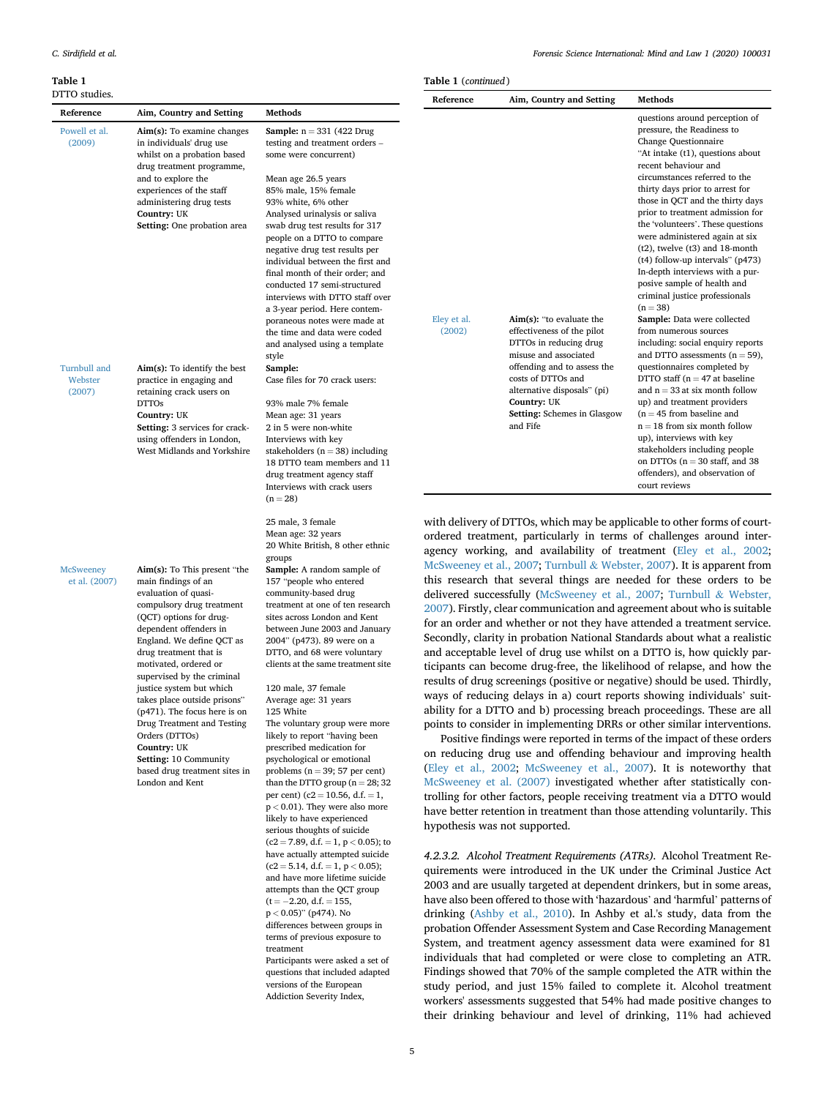<span id="page-4-0"></span>Table 1  $\frac{DT}{R}$ 

|  |  | Table 1 (continued) |  |
|--|--|---------------------|--|
|--|--|---------------------|--|

| idie 1                     |                                                                                      |                                                                                               | rable <i>r</i> ( <i>continued</i> )       |          |
|----------------------------|--------------------------------------------------------------------------------------|-----------------------------------------------------------------------------------------------|-------------------------------------------|----------|
| ITO studies.               |                                                                                      |                                                                                               | Reference                                 | Ai       |
| Reference<br>Powell et al. | Aim, Country and Setting<br>$Aim(s)$ : To examine changes                            | Methods                                                                                       |                                           |          |
| (2009)                     | in individuals' drug use<br>whilst on a probation based<br>drug treatment programme, | <b>Sample:</b> $n = 331$ (422 Drug<br>testing and treatment orders -<br>some were concurrent) |                                           |          |
|                            | and to explore the                                                                   | Mean age 26.5 years                                                                           |                                           |          |
|                            | experiences of the staff                                                             | 85% male, 15% female                                                                          |                                           |          |
|                            | administering drug tests<br>Country: UK                                              | 93% white, 6% other<br>Analysed urinalysis or saliva                                          |                                           |          |
|                            | Setting: One probation area                                                          | swab drug test results for 317                                                                |                                           |          |
|                            |                                                                                      | people on a DTTO to compare                                                                   |                                           |          |
|                            |                                                                                      | negative drug test results per<br>individual between the first and                            |                                           |          |
|                            |                                                                                      | final month of their order: and                                                               |                                           |          |
|                            |                                                                                      | conducted 17 semi-structured                                                                  |                                           |          |
|                            |                                                                                      | interviews with DTTO staff over<br>a 3-year period. Here contem-                              |                                           |          |
|                            |                                                                                      | poraneous notes were made at                                                                  | Eley et al.                               | Ai       |
|                            |                                                                                      | the time and data were coded                                                                  | (2002)                                    | ef       |
|                            |                                                                                      | and analysed using a template                                                                 |                                           | D<br>m   |
| <b>Turnbull</b> and        | $Aim(s)$ : To identify the best                                                      | style<br>Sample:                                                                              |                                           | of       |
| Webster<br>(2007)          | practice in engaging and<br>retaining crack users on                                 | Case files for 70 crack users:                                                                |                                           | cc<br>al |
|                            | <b>DTTOs</b>                                                                         | 93% male 7% female                                                                            |                                           | <b>C</b> |
|                            | Country: UK<br>Setting: 3 services for crack-                                        | Mean age: 31 years<br>2 in 5 were non-white                                                   |                                           | Sε<br>ar |
|                            | using offenders in London,                                                           | Interviews with key                                                                           |                                           |          |
|                            | West Midlands and Yorkshire                                                          | stakeholders ( $n = 38$ ) including                                                           |                                           |          |
|                            |                                                                                      | 18 DTTO team members and 11<br>drug treatment agency staff                                    |                                           |          |
|                            |                                                                                      | Interviews with crack users                                                                   |                                           |          |
|                            |                                                                                      | $(n = 28)$                                                                                    |                                           |          |
|                            |                                                                                      | 25 male, 3 female                                                                             | with delivery of DT                       |          |
|                            |                                                                                      | Mean age: 32 years<br>20 White British, 8 other ethnic                                        | ordered treatment,                        |          |
|                            |                                                                                      | groups                                                                                        | agency working,                           |          |
| <b>McSweeney</b>           | Aim(s): To This present "the                                                         | <b>Sample:</b> A random sample of                                                             | McSweeney et al., 2                       |          |
| et al. (2007)              | main findings of an<br>evaluation of quasi-                                          | 157 "people who entered<br>community-based drug                                               | this research that<br>delivered successfu |          |
|                            | compulsory drug treatment                                                            | treatment at one of ten research                                                              | 2007). Firstly, clear                     |          |
|                            | (QCT) options for drug-                                                              | sites across London and Kent                                                                  | for an order and wl                       |          |
|                            | dependent offenders in                                                               | between June 2003 and January                                                                 | Secondly, clarity in                      |          |
|                            | England. We define QCT as<br>drug treatment that is                                  | 2004" (p473). 89 were on a<br>DTTO, and 68 were voluntary                                     | and acceptable leve                       |          |
|                            | motivated, ordered or                                                                | clients at the same treatment site                                                            | ticipants can becor                       |          |
|                            | supervised by the criminal<br>justice system but which                               | 120 male, 37 female                                                                           | results of drug scre                      |          |
|                            | takes place outside prisons"                                                         | Average age: 31 years                                                                         | ways of reducing o                        |          |
|                            | (p471). The focus here is on                                                         | 125 White                                                                                     | ability for a DTTO                        |          |
|                            | Drug Treatment and Testing                                                           | The voluntary group were more                                                                 | points to consider i                      |          |
|                            | Orders (DTTOs)<br>Country: UK                                                        | likely to report "having been<br>prescribed medication for                                    | Positive finding                          |          |
|                            | Setting: 10 Community                                                                | psychological or emotional                                                                    | on reducing drug                          |          |
|                            | based drug treatment sites in<br>London and Kent                                     | problems ( $n = 39$ ; 57 per cent)                                                            | (Eley et al., 2002<br>McSweeney et al.    |          |
|                            |                                                                                      | than the DTTO group ( $n = 28$ ; 32<br>per cent) (c2 = 10.56, d.f. = 1,                       | trolling for other fa                     |          |
|                            |                                                                                      | $p < 0.01$ ). They were also more                                                             | have better retentic                      |          |
|                            |                                                                                      | likely to have experienced                                                                    | hypothesis was not                        |          |
|                            |                                                                                      | serious thoughts of suicide<br>$(c2 = 7.89, d.f. = 1, p < 0.05)$ ; to                         |                                           |          |
|                            |                                                                                      | have actually attempted suicide                                                               | 4.2.3.2. Alcohol Tr                       |          |
|                            |                                                                                      | $(c2 = 5.14, d.f. = 1, p < 0.05);$                                                            | quirements were in                        |          |
|                            |                                                                                      | and have more lifetime suicide<br>attempts than the QCT group                                 | 2003 and are usual                        |          |
|                            |                                                                                      | $(t = -2.20, d.f. = 155,$                                                                     | have also been offeı                      |          |
|                            |                                                                                      | $p < 0.05$ )" (p474). No                                                                      | drinking (Ashby et                        |          |
|                            |                                                                                      | differences between groups in                                                                 | probation Offender                        |          |

| Reference             | Aim, Country and Setting                                                                                                                                                                                                                                | <b>Methods</b>                                                                                                                                                                                                                                                                                                                                                                                                                                                                                                                                                   |  |
|-----------------------|---------------------------------------------------------------------------------------------------------------------------------------------------------------------------------------------------------------------------------------------------------|------------------------------------------------------------------------------------------------------------------------------------------------------------------------------------------------------------------------------------------------------------------------------------------------------------------------------------------------------------------------------------------------------------------------------------------------------------------------------------------------------------------------------------------------------------------|--|
|                       |                                                                                                                                                                                                                                                         | questions around perception of<br>pressure, the Readiness to<br>Change Questionnaire<br>"At intake (t1), questions about<br>recent behaviour and<br>circumstances referred to the<br>thirty days prior to arrest for<br>those in OCT and the thirty days<br>prior to treatment admission for<br>the 'volunteers'. These questions<br>were administered again at six<br>$(t2)$ , twelve $(t3)$ and 18-month<br>(t4) follow-up intervals" (p473)<br>In-depth interviews with a pur-<br>posive sample of health and<br>criminal justice professionals<br>$(n = 38)$ |  |
| Eley et al.<br>(2002) | Aim(s): "to evaluate the<br>effectiveness of the pilot<br>DTTOs in reducing drug<br>misuse and associated<br>offending and to assess the<br>costs of DTTOs and<br>alternative disposals" (pi)<br>Country: UK<br>Setting: Schemes in Glasgow<br>and Fife | Sample: Data were collected<br>from numerous sources<br>including: social enquiry reports<br>and DTTO assessments $(n = 59)$ ,<br>questionnaires completed by<br>DTTO staff ( $n = 47$ at baseline<br>and $n = 33$ at six month follow<br>up) and treatment providers<br>$(n = 45$ from baseline and<br>$n = 18$ from six month follow<br>up), interviews with key<br>stakeholders including people<br>on DTTOs $(n = 30$ staff, and 38<br>offenders), and observation of<br>court reviews                                                                       |  |

TOs, which may be applicable to other forms of courtparticularly in terms of challenges around inter-and availability of treatment ([Eley et al., 2002;](#page-10-40) 2007; [Turnbull](#page-10-44) & [Webster, 2007](#page-10-44)). It is apparent from several things are needed for these orders to be ully [\(McSweeney et al., 2007;](#page-10-42) [Turnbull](#page-10-44) & [Webster,](#page-10-44) communication and agreement about who is suitable hether or not they have attended a treatment service. probation National Standards about what a realistic el of drug use whilst on a DTTO is, how quickly parme drug-free, the likelihood of relapse, and how the enings (positive or negative) should be used. Thirdly, delays in a) court reports showing individuals' suitand b) processing breach proceedings. These are all in implementing DRRs or other similar interventions.

s were reported in terms of the impact of these orders use and offending behaviour and improving health el; [McSweeney et al., 2007\)](#page-10-42). It is noteworthy that  $(2007)$  investigated whether after statistically conactors, people receiving treatment via a DTTO would on in treatment than those attending voluntarily. This supported.

reatment Requirements (ATRs). Alcohol Treatment Rentroduced in the UK under the Criminal Justice Act lly targeted at dependent drinkers, but in some areas, red to those with 'hazardous' and 'harmful' patterns of t al., 2010). In Ashby et al.'s study, data from the probation Offender Assessment System and Case Recording Management System, and treatment agency assessment data were examined for 81 individuals that had completed or were close to completing an ATR. Findings showed that 70% of the sample completed the ATR within the study period, and just 15% failed to complete it. Alcohol treatment workers' assessments suggested that 54% had made positive changes to their drinking behaviour and level of drinking, 11% had achieved

terms of previous exposure to

Participants were asked a set of questions that included adapted versions of the European Addiction Severity Index,

treatment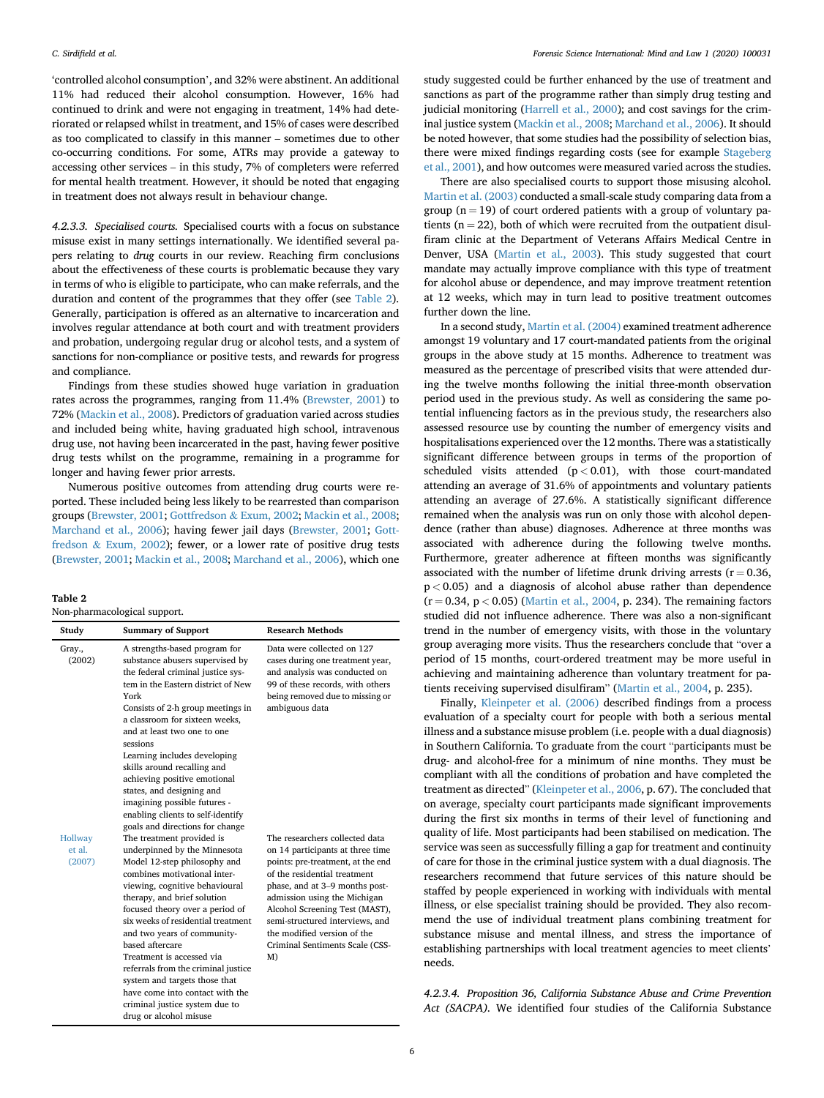'controlled alcohol consumption', and 32% were abstinent. An additional 11% had reduced their alcohol consumption. However, 16% had continued to drink and were not engaging in treatment, 14% had deteriorated or relapsed whilst in treatment, and 15% of cases were described as too complicated to classify in this manner – sometimes due to other co-occurring conditions. For some, ATRs may provide a gateway to accessing other services – in this study, 7% of completers were referred for mental health treatment. However, it should be noted that engaging in treatment does not always result in behaviour change.

4.2.3.3. Specialised courts. Specialised courts with a focus on substance misuse exist in many settings internationally. We identified several papers relating to drug courts in our review. Reaching firm conclusions about the effectiveness of these courts is problematic because they vary in terms of who is eligible to participate, who can make referrals, and the duration and content of the programmes that they offer (see [Table 2\)](#page-5-0). Generally, participation is offered as an alternative to incarceration and involves regular attendance at both court and with treatment providers and probation, undergoing regular drug or alcohol tests, and a system of sanctions for non-compliance or positive tests, and rewards for progress and compliance.

Findings from these studies showed huge variation in graduation rates across the programmes, ranging from 11.4% ([Brewster, 2001\)](#page-9-6) to 72% [\(Mackin et al., 2008\)](#page-10-34). Predictors of graduation varied across studies and included being white, having graduated high school, intravenous drug use, not having been incarcerated in the past, having fewer positive drug tests whilst on the programme, remaining in a programme for longer and having fewer prior arrests.

Numerous positive outcomes from attending drug courts were reported. These included being less likely to be rearrested than comparison groups [\(Brewster, 2001;](#page-9-6) [Gottfredson](#page-10-25) & [Exum, 2002;](#page-10-25) [Mackin et al., 2008;](#page-10-34) [Marchand et al., 2006](#page-10-35)); having fewer jail days ([Brewster, 2001;](#page-9-6) [Gott](#page-10-25)[fredson](#page-10-25) & [Exum, 2002\)](#page-10-25); fewer, or a lower rate of positive drug tests ([Brewster, 2001](#page-9-6); [Mackin et al., 2008;](#page-10-34) [Marchand et al., 2006](#page-10-35)), which one

<span id="page-5-0"></span>

| Table 2                     |  |
|-----------------------------|--|
| Non-pharmacological support |  |

| <b>Summary of Support</b>                                                                                                                                                                                                                                                                                                                                                                                                                                                                                                          | <b>Research Methods</b>                                                                                                                                                                                                                                                                                                                                |  |
|------------------------------------------------------------------------------------------------------------------------------------------------------------------------------------------------------------------------------------------------------------------------------------------------------------------------------------------------------------------------------------------------------------------------------------------------------------------------------------------------------------------------------------|--------------------------------------------------------------------------------------------------------------------------------------------------------------------------------------------------------------------------------------------------------------------------------------------------------------------------------------------------------|--|
| A strengths-based program for<br>substance abusers supervised by<br>the federal criminal justice sys-<br>tem in the Eastern district of New<br>York<br>Consists of 2-h group meetings in<br>a classroom for sixteen weeks.<br>and at least two one to one<br>sessions<br>Learning includes developing<br>skills around recalling and<br>achieving positive emotional<br>states, and designing and<br>imagining possible futures -                                                                                                  | Data were collected on 127<br>cases during one treatment year,<br>and analysis was conducted on<br>99 of these records, with others<br>being removed due to missing or<br>ambiguous data                                                                                                                                                               |  |
| goals and directions for change<br>The treatment provided is<br>underpinned by the Minnesota<br>Model 12-step philosophy and<br>combines motivational inter-<br>viewing, cognitive behavioural<br>therapy, and brief solution<br>focused theory over a period of<br>six weeks of residential treatment<br>and two years of community-<br>based aftercare<br>Treatment is accessed via<br>referrals from the criminal justice<br>system and targets those that<br>have come into contact with the<br>criminal justice system due to | The researchers collected data<br>on 14 participants at three time<br>points: pre-treatment, at the end<br>of the residential treatment<br>phase, and at 3-9 months post-<br>admission using the Michigan<br>Alcohol Screening Test (MAST),<br>semi-structured interviews, and<br>the modified version of the<br>Criminal Sentiments Scale (CSS-<br>M) |  |
|                                                                                                                                                                                                                                                                                                                                                                                                                                                                                                                                    | enabling clients to self-identify                                                                                                                                                                                                                                                                                                                      |  |

study suggested could be further enhanced by the use of treatment and sanctions as part of the programme rather than simply drug testing and judicial monitoring [\(Harrell et al., 2000](#page-10-29)); and cost savings for the criminal justice system [\(Mackin et al., 2008;](#page-10-34) [Marchand et al., 2006](#page-10-35)). It should be noted however, that some studies had the possibility of selection bias, there were mixed findings regarding costs (see for example [Stageberg](#page-10-39) [et al., 2001\)](#page-10-39), and how outcomes were measured varied across the studies.

There are also specialised courts to support those misusing alcohol. [Martin et al. \(2003\)](#page-10-37) conducted a small-scale study comparing data from a group ( $n = 19$ ) of court ordered patients with a group of voluntary patients ( $n = 22$ ), both of which were recruited from the outpatient disulfiram clinic at the Department of Veterans Affairs Medical Centre in Denver, USA [\(Martin et al., 2003\)](#page-10-37). This study suggested that court mandate may actually improve compliance with this type of treatment for alcohol abuse or dependence, and may improve treatment retention at 12 weeks, which may in turn lead to positive treatment outcomes further down the line.

In a second study, [Martin et al. \(2004\)](#page-10-36) examined treatment adherence amongst 19 voluntary and 17 court-mandated patients from the original groups in the above study at 15 months. Adherence to treatment was measured as the percentage of prescribed visits that were attended during the twelve months following the initial three-month observation period used in the previous study. As well as considering the same potential influencing factors as in the previous study, the researchers also assessed resource use by counting the number of emergency visits and hospitalisations experienced over the 12 months. There was a statistically significant difference between groups in terms of the proportion of scheduled visits attended  $(p < 0.01)$ , with those court-mandated attending an average of 31.6% of appointments and voluntary patients attending an average of 27.6%. A statistically significant difference remained when the analysis was run on only those with alcohol dependence (rather than abuse) diagnoses. Adherence at three months was associated with adherence during the following twelve months. Furthermore, greater adherence at fifteen months was significantly associated with the number of lifetime drunk driving arrests ( $r = 0.36$ ,  $p < 0.05$ ) and a diagnosis of alcohol abuse rather than dependence  $(r = 0.34, p < 0.05)$  ([Martin et al., 2004,](#page-10-36) p. 234). The remaining factors studied did not influence adherence. There was also a non-significant trend in the number of emergency visits, with those in the voluntary group averaging more visits. Thus the researchers conclude that "over a period of 15 months, court-ordered treatment may be more useful in achieving and maintaining adherence than voluntary treatment for patients receiving supervised disulfiram" [\(Martin et al., 2004](#page-10-36), p. 235).

Finally, [Kleinpeter et al. \(2006\)](#page-10-32) described findings from a process evaluation of a specialty court for people with both a serious mental illness and a substance misuse problem (i.e. people with a dual diagnosis) in Southern California. To graduate from the court "participants must be drug- and alcohol-free for a minimum of nine months. They must be compliant with all the conditions of probation and have completed the treatment as directed" ([Kleinpeter et al., 2006,](#page-10-32) p. 67). The concluded that on average, specialty court participants made significant improvements during the first six months in terms of their level of functioning and quality of life. Most participants had been stabilised on medication. The service was seen as successfully filling a gap for treatment and continuity of care for those in the criminal justice system with a dual diagnosis. The researchers recommend that future services of this nature should be staffed by people experienced in working with individuals with mental illness, or else specialist training should be provided. They also recommend the use of individual treatment plans combining treatment for substance misuse and mental illness, and stress the importance of establishing partnerships with local treatment agencies to meet clients' needs.

4.2.3.4. Proposition 36, California Substance Abuse and Crime Prevention Act (SACPA). We identified four studies of the California Substance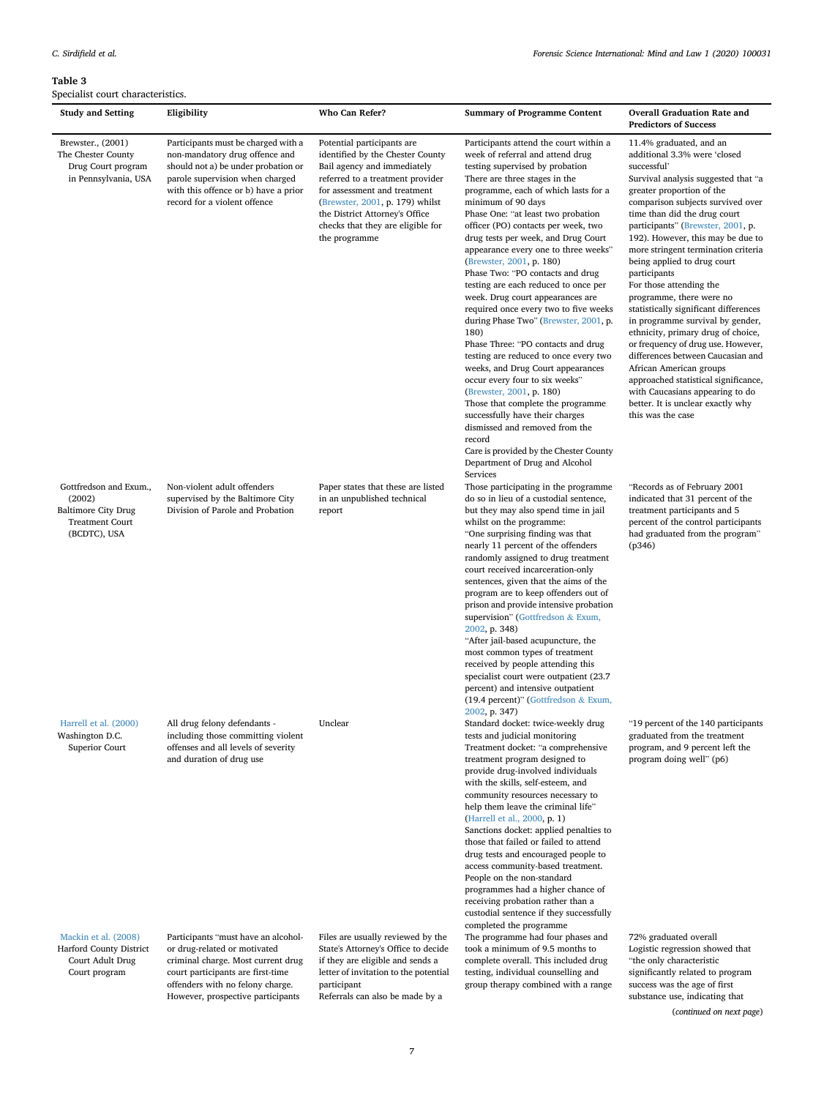# <span id="page-6-0"></span>Table 3

| <b>Study and Setting</b>                                                                          | Eligibility                                                                                                                                                                                                             | <b>Who Can Refer?</b>                                                                                                                                                                                                                                                                        | <b>Summary of Programme Content</b>                                                                                                                                                                                                                                                                                                                                                                                                                                                                                                                                                                                                                                                                                                                                                                                                                                                                                                                                                              | <b>Overall Graduation Rate and</b><br><b>Predictors of Success</b>                                                                                                                                                                                                                                                                                                                                                                                                                                                                                                                                                                                                                                                                                                                                   |
|---------------------------------------------------------------------------------------------------|-------------------------------------------------------------------------------------------------------------------------------------------------------------------------------------------------------------------------|----------------------------------------------------------------------------------------------------------------------------------------------------------------------------------------------------------------------------------------------------------------------------------------------|--------------------------------------------------------------------------------------------------------------------------------------------------------------------------------------------------------------------------------------------------------------------------------------------------------------------------------------------------------------------------------------------------------------------------------------------------------------------------------------------------------------------------------------------------------------------------------------------------------------------------------------------------------------------------------------------------------------------------------------------------------------------------------------------------------------------------------------------------------------------------------------------------------------------------------------------------------------------------------------------------|------------------------------------------------------------------------------------------------------------------------------------------------------------------------------------------------------------------------------------------------------------------------------------------------------------------------------------------------------------------------------------------------------------------------------------------------------------------------------------------------------------------------------------------------------------------------------------------------------------------------------------------------------------------------------------------------------------------------------------------------------------------------------------------------------|
| Brewster., (2001)<br>The Chester County<br>Drug Court program<br>in Pennsylvania, USA             | Participants must be charged with a<br>non-mandatory drug offence and<br>should not a) be under probation or<br>parole supervision when charged<br>with this offence or b) have a prior<br>record for a violent offence | Potential participants are<br>identified by the Chester County<br>Bail agency and immediately<br>referred to a treatment provider<br>for assessment and treatment<br>(Brewster, 2001, p. 179) whilst<br>the District Attorney's Office<br>checks that they are eligible for<br>the programme | Participants attend the court within a<br>week of referral and attend drug<br>testing supervised by probation<br>There are three stages in the<br>programme, each of which lasts for a<br>minimum of 90 days<br>Phase One: "at least two probation<br>officer (PO) contacts per week, two<br>drug tests per week, and Drug Court<br>appearance every one to three weeks"<br>(Brewster, 2001, p. 180)<br>Phase Two: "PO contacts and drug<br>testing are each reduced to once per<br>week. Drug court appearances are<br>required once every two to five weeks<br>during Phase Two" (Brewster, 2001, p.<br>180)<br>Phase Three: "PO contacts and drug<br>testing are reduced to once every two<br>weeks, and Drug Court appearances<br>occur every four to six weeks"<br>(Brewster, 2001, p. 180)<br>Those that complete the programme<br>successfully have their charges<br>dismissed and removed from the<br>record<br>Care is provided by the Chester County<br>Department of Drug and Alcohol | 11.4% graduated, and an<br>additional 3.3% were 'closed<br>successful'<br>Survival analysis suggested that "a<br>greater proportion of the<br>comparison subjects survived over<br>time than did the drug court<br>participants" (Brewster, 2001, p.<br>192). However, this may be due to<br>more stringent termination criteria<br>being applied to drug court<br>participants<br>For those attending the<br>programme, there were no<br>statistically significant differences<br>in programme survival by gender,<br>ethnicity, primary drug of choice,<br>or frequency of drug use. However,<br>differences between Caucasian and<br>African American groups<br>approached statistical significance,<br>with Caucasians appearing to do<br>better. It is unclear exactly why<br>this was the case |
| Gottfredson and Exum.,<br>(2002)<br>Baltimore City Drug<br><b>Treatment Court</b><br>(BCDTC), USA | Non-violent adult offenders<br>supervised by the Baltimore City<br>Division of Parole and Probation                                                                                                                     | Paper states that these are listed<br>in an unpublished technical<br>report                                                                                                                                                                                                                  | Services<br>Those participating in the programme<br>do so in lieu of a custodial sentence,<br>but they may also spend time in jail<br>whilst on the programme:<br>"One surprising finding was that<br>nearly 11 percent of the offenders<br>randomly assigned to drug treatment<br>court received incarceration-only<br>sentences, given that the aims of the<br>program are to keep offenders out of<br>prison and provide intensive probation<br>supervision" (Gottfredson & Exum,<br>2002, p. 348)<br>"After jail-based acupuncture, the<br>most common types of treatment<br>received by people attending this<br>specialist court were outpatient (23.7<br>percent) and intensive outpatient<br>(19.4 percent)" (Gottfredson & Exum,<br>2002, p. 347)                                                                                                                                                                                                                                       | "Records as of February 2001<br>indicated that 31 percent of the<br>treatment participants and 5<br>percent of the control participants<br>had graduated from the program"<br>(p346)                                                                                                                                                                                                                                                                                                                                                                                                                                                                                                                                                                                                                 |
| Harrell et al. (2000)<br>Washington D.C.<br><b>Superior Court</b>                                 | All drug felony defendants -<br>including those committing violent<br>offenses and all levels of severity<br>and duration of drug use                                                                                   | Unclear                                                                                                                                                                                                                                                                                      | Standard docket: twice-weekly drug<br>tests and judicial monitoring<br>Treatment docket: "a comprehensive<br>treatment program designed to<br>provide drug-involved individuals<br>with the skills, self-esteem, and<br>community resources necessary to<br>help them leave the criminal life"<br>(Harrell et al., 2000, p. 1)<br>Sanctions docket: applied penalties to<br>those that failed or failed to attend<br>drug tests and encouraged people to<br>access community-based treatment.<br>People on the non-standard<br>programmes had a higher chance of<br>receiving probation rather than a<br>custodial sentence if they successfully<br>completed the programme                                                                                                                                                                                                                                                                                                                      | "19 percent of the 140 participants<br>graduated from the treatment<br>program, and 9 percent left the<br>program doing well" (p6)                                                                                                                                                                                                                                                                                                                                                                                                                                                                                                                                                                                                                                                                   |
| Mackin et al. (2008)<br>Harford County District<br>Court Adult Drug<br>Court program              | Participants "must have an alcohol-<br>or drug-related or motivated<br>criminal charge. Most current drug<br>court participants are first-time<br>offenders with no felony charge.<br>However, prospective participants | Files are usually reviewed by the<br>State's Attorney's Office to decide<br>if they are eligible and sends a<br>letter of invitation to the potential<br>participant<br>Referrals can also be made by a                                                                                      | The programme had four phases and<br>took a minimum of 9.5 months to<br>complete overall. This included drug<br>testing, individual counselling and<br>group therapy combined with a range                                                                                                                                                                                                                                                                                                                                                                                                                                                                                                                                                                                                                                                                                                                                                                                                       | 72% graduated overall<br>Logistic regression showed that<br>"the only characteristic<br>significantly related to program<br>success was the age of first<br>substance use, indicating that                                                                                                                                                                                                                                                                                                                                                                                                                                                                                                                                                                                                           |

(continued on next page)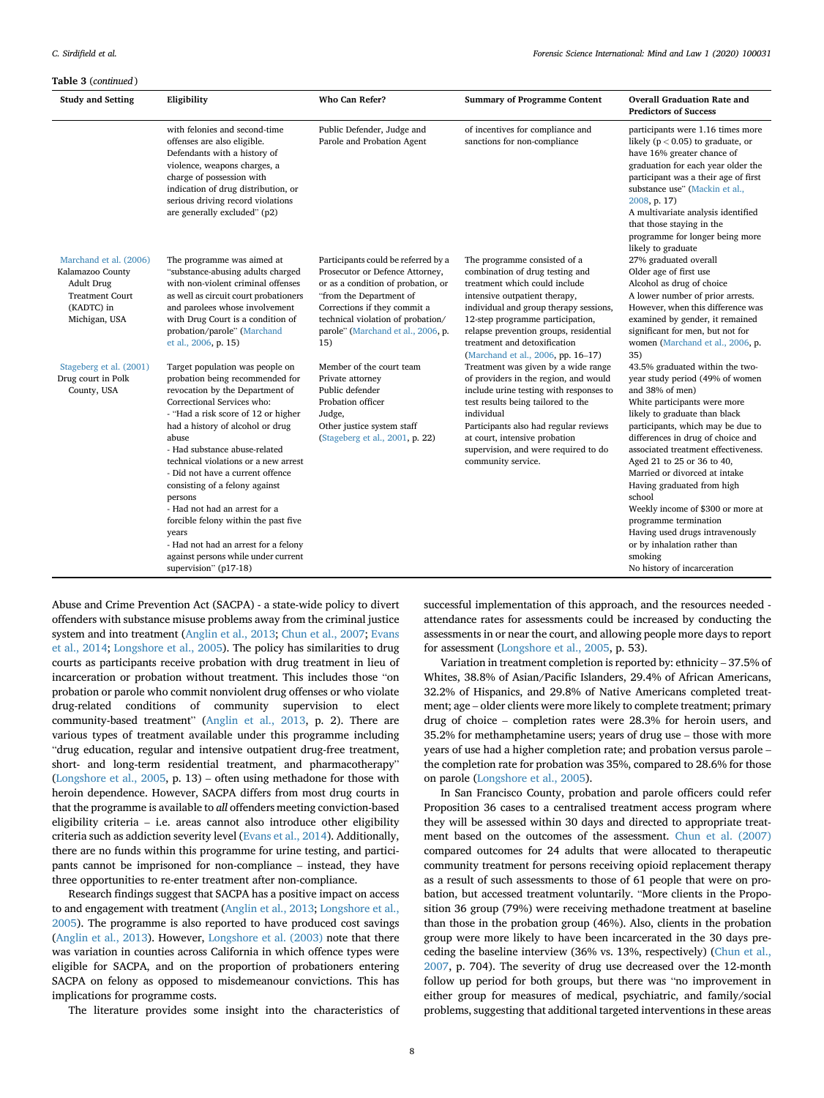#### Table 3 (continued )

| <b>Study and Setting</b>                                                                                                 | Eligibility                                                                                                                                                                                                                                                                                                                                                                                                                                                                                                                                                                 | Who Can Refer?                                                                                                                                                                                                                                            | <b>Summary of Programme Content</b>                                                                                                                                                                                                                                                                                             | <b>Overall Graduation Rate and</b><br><b>Predictors of Success</b>                                                                                                                                                                                                                                                                                                                                                                                                                                                                                        |
|--------------------------------------------------------------------------------------------------------------------------|-----------------------------------------------------------------------------------------------------------------------------------------------------------------------------------------------------------------------------------------------------------------------------------------------------------------------------------------------------------------------------------------------------------------------------------------------------------------------------------------------------------------------------------------------------------------------------|-----------------------------------------------------------------------------------------------------------------------------------------------------------------------------------------------------------------------------------------------------------|---------------------------------------------------------------------------------------------------------------------------------------------------------------------------------------------------------------------------------------------------------------------------------------------------------------------------------|-----------------------------------------------------------------------------------------------------------------------------------------------------------------------------------------------------------------------------------------------------------------------------------------------------------------------------------------------------------------------------------------------------------------------------------------------------------------------------------------------------------------------------------------------------------|
|                                                                                                                          | with felonies and second-time<br>offenses are also eligible.<br>Defendants with a history of<br>violence, weapons charges, a<br>charge of possession with<br>indication of drug distribution, or<br>serious driving record violations<br>are generally excluded" (p2)                                                                                                                                                                                                                                                                                                       | Public Defender, Judge and<br>Parole and Probation Agent                                                                                                                                                                                                  | of incentives for compliance and<br>sanctions for non-compliance                                                                                                                                                                                                                                                                | participants were 1.16 times more<br>likely ( $p < 0.05$ ) to graduate, or<br>have 16% greater chance of<br>graduation for each year older the<br>participant was a their age of first<br>substance use" (Mackin et al.,<br>2008, p. 17)<br>A multivariate analysis identified<br>that those staying in the<br>programme for longer being more<br>likely to graduate                                                                                                                                                                                      |
| Marchand et al. (2006)<br>Kalamazoo County<br><b>Adult Drug</b><br><b>Treatment Court</b><br>(KADTC) in<br>Michigan, USA | The programme was aimed at<br>"substance-abusing adults charged<br>with non-violent criminal offenses<br>as well as circuit court probationers<br>and parolees whose involvement<br>with Drug Court is a condition of<br>probation/parole" (Marchand<br>et al., 2006, p. 15)                                                                                                                                                                                                                                                                                                | Participants could be referred by a<br>Prosecutor or Defence Attorney,<br>or as a condition of probation, or<br>"from the Department of<br>Corrections if they commit a<br>technical violation of probation/<br>parole" (Marchand et al., 2006, p.<br>15) | The programme consisted of a<br>combination of drug testing and<br>treatment which could include<br>intensive outpatient therapy,<br>individual and group therapy sessions,<br>12-step programme participation,<br>relapse prevention groups, residential<br>treatment and detoxification<br>(Marchand et al., 2006, pp. 16-17) | 27% graduated overall<br>Older age of first use<br>Alcohol as drug of choice<br>A lower number of prior arrests.<br>However, when this difference was<br>examined by gender, it remained<br>significant for men, but not for<br>women (Marchand et al., 2006, p.<br>35)                                                                                                                                                                                                                                                                                   |
| Stageberg et al. (2001)<br>Drug court in Polk<br>County, USA                                                             | Target population was people on<br>probation being recommended for<br>revocation by the Department of<br>Correctional Services who:<br>- "Had a risk score of 12 or higher<br>had a history of alcohol or drug<br>abuse<br>- Had substance abuse-related<br>technical violations or a new arrest<br>- Did not have a current offence<br>consisting of a felony against<br>persons<br>- Had not had an arrest for a<br>forcible felony within the past five<br>years<br>- Had not had an arrest for a felony<br>against persons while under current<br>supervision" (p17-18) | Member of the court team<br>Private attorney<br>Public defender<br>Probation officer<br>Judge,<br>Other justice system staff<br>(Stageberg et al., 2001, p. 22)                                                                                           | Treatment was given by a wide range<br>of providers in the region, and would<br>include urine testing with responses to<br>test results being tailored to the<br>individual<br>Participants also had regular reviews<br>at court, intensive probation<br>supervision, and were required to do<br>community service.             | 43.5% graduated within the two-<br>year study period (49% of women<br>and 38% of men)<br>White participants were more<br>likely to graduate than black<br>participants, which may be due to<br>differences in drug of choice and<br>associated treatment effectiveness.<br>Aged 21 to 25 or 36 to 40,<br>Married or divorced at intake<br>Having graduated from high<br>school<br>Weekly income of \$300 or more at<br>programme termination<br>Having used drugs intravenously<br>or by inhalation rather than<br>smoking<br>No history of incarceration |

Abuse and Crime Prevention Act (SACPA) - a state-wide policy to divert offenders with substance misuse problems away from the criminal justice system and into treatment [\(Anglin et al., 2013](#page-9-5); [Chun et al., 2007;](#page-10-21) [Evans](#page-10-24) [et al., 2014;](#page-10-24) [Longshore et al., 2005\)](#page-10-33). The policy has similarities to drug courts as participants receive probation with drug treatment in lieu of incarceration or probation without treatment. This includes those "on probation or parole who commit nonviolent drug offenses or who violate drug-related conditions of community supervision to elect community-based treatment" [\(Anglin et al., 2013,](#page-9-5) p. 2). There are various types of treatment available under this programme including "drug education, regular and intensive outpatient drug-free treatment, short- and long-term residential treatment, and pharmacotherapy" ([Longshore et al., 2005,](#page-10-33) p. 13) – often using methadone for those with heroin dependence. However, SACPA differs from most drug courts in that the programme is available to all offenders meeting conviction-based eligibility criteria – i.e. areas cannot also introduce other eligibility criteria such as addiction severity level ([Evans et al., 2014](#page-10-24)). Additionally, there are no funds within this programme for urine testing, and participants cannot be imprisoned for non-compliance – instead, they have three opportunities to re-enter treatment after non-compliance.

Research findings suggest that SACPA has a positive impact on access to and engagement with treatment ([Anglin et al., 2013](#page-9-5); [Longshore et al.,](#page-10-33) [2005\)](#page-10-33). The programme is also reported to have produced cost savings ([Anglin et al., 2013\)](#page-9-5). However, [Longshore et al. \(2003\)](#page-10-33) note that there was variation in counties across California in which offence types were eligible for SACPA, and on the proportion of probationers entering SACPA on felony as opposed to misdemeanour convictions. This has implications for programme costs.

The literature provides some insight into the characteristics of

successful implementation of this approach, and the resources needed attendance rates for assessments could be increased by conducting the assessments in or near the court, and allowing people more days to report for assessment [\(Longshore et al., 2005,](#page-10-33) p. 53).

Variation in treatment completion is reported by: ethnicity – 37.5% of Whites, 38.8% of Asian/Pacific Islanders, 29.4% of African Americans, 32.2% of Hispanics, and 29.8% of Native Americans completed treatment; age – older clients were more likely to complete treatment; primary drug of choice – completion rates were 28.3% for heroin users, and 35.2% for methamphetamine users; years of drug use – those with more years of use had a higher completion rate; and probation versus parole – the completion rate for probation was 35%, compared to 28.6% for those on parole [\(Longshore et al., 2005](#page-10-33)).

In San Francisco County, probation and parole officers could refer Proposition 36 cases to a centralised treatment access program where they will be assessed within 30 days and directed to appropriate treatment based on the outcomes of the assessment. [Chun et al. \(2007\)](#page-10-21) compared outcomes for 24 adults that were allocated to therapeutic community treatment for persons receiving opioid replacement therapy as a result of such assessments to those of 61 people that were on probation, but accessed treatment voluntarily. "More clients in the Proposition 36 group (79%) were receiving methadone treatment at baseline than those in the probation group (46%). Also, clients in the probation group were more likely to have been incarcerated in the 30 days preceding the baseline interview (36% vs. 13%, respectively) ([Chun et al.,](#page-10-21) [2007,](#page-10-21) p. 704). The severity of drug use decreased over the 12-month follow up period for both groups, but there was "no improvement in either group for measures of medical, psychiatric, and family/social problems, suggesting that additional targeted interventions in these areas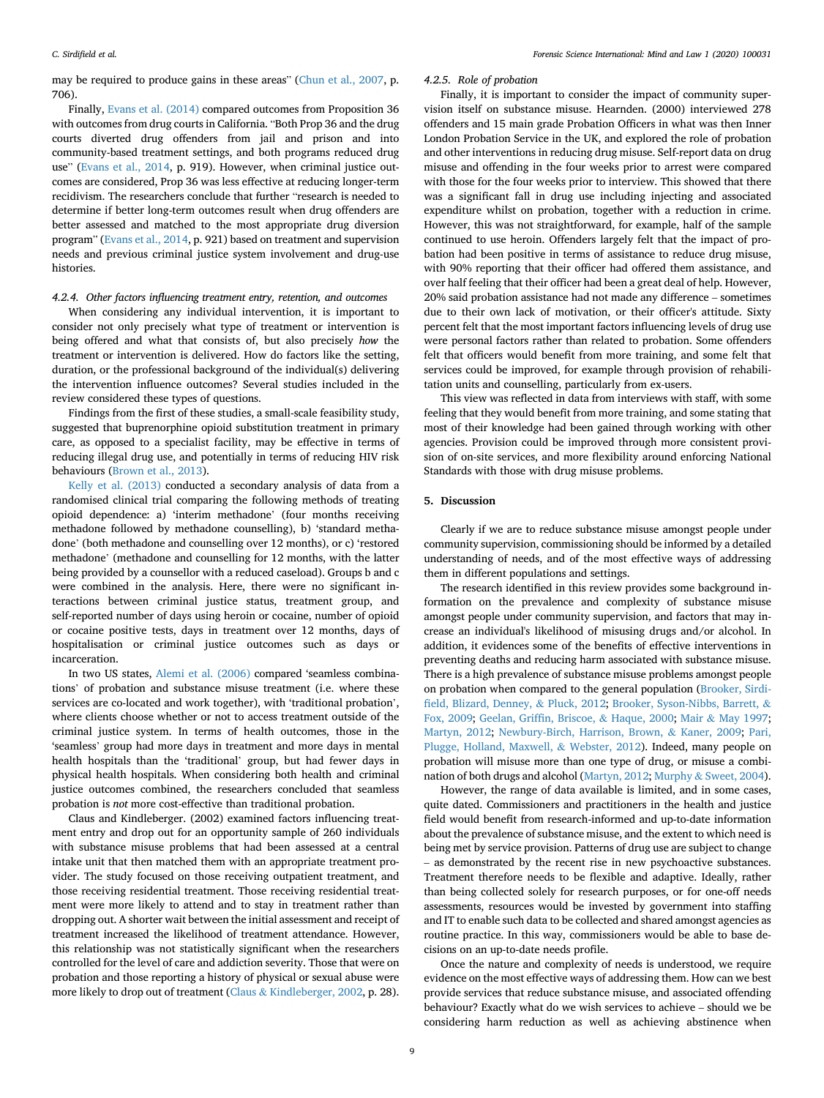may be required to produce gains in these areas" [\(Chun et al., 2007](#page-10-21), p. 706).

Finally, [Evans et al. \(2014\)](#page-10-24) compared outcomes from Proposition 36 with outcomes from drug courts in California. "Both Prop 36 and the drug courts diverted drug offenders from jail and prison and into community-based treatment settings, and both programs reduced drug use" ([Evans et al., 2014,](#page-10-24) p. 919). However, when criminal justice outcomes are considered, Prop 36 was less effective at reducing longer-term recidivism. The researchers conclude that further "research is needed to determine if better long-term outcomes result when drug offenders are better assessed and matched to the most appropriate drug diversion program" [\(Evans et al., 2014](#page-10-24), p. 921) based on treatment and supervision needs and previous criminal justice system involvement and drug-use histories.

# 4.2.4. Other factors influencing treatment entry, retention, and outcomes

When considering any individual intervention, it is important to consider not only precisely what type of treatment or intervention is being offered and what that consists of, but also precisely how the treatment or intervention is delivered. How do factors like the setting, duration, or the professional background of the individual(s) delivering the intervention influence outcomes? Several studies included in the review considered these types of questions.

Findings from the first of these studies, a small-scale feasibility study, suggested that buprenorphine opioid substitution treatment in primary care, as opposed to a specialist facility, may be effective in terms of reducing illegal drug use, and potentially in terms of reducing HIV risk behaviours [\(Brown et al., 2013](#page-9-7)).

[Kelly et al. \(2013\)](#page-10-31) conducted a secondary analysis of data from a randomised clinical trial comparing the following methods of treating opioid dependence: a) 'interim methadone' (four months receiving methadone followed by methadone counselling), b) 'standard methadone' (both methadone and counselling over 12 months), or c) 'restored methadone' (methadone and counselling for 12 months, with the latter being provided by a counsellor with a reduced caseload). Groups b and c were combined in the analysis. Here, there were no significant interactions between criminal justice status, treatment group, and self-reported number of days using heroin or cocaine, number of opioid or cocaine positive tests, days in treatment over 12 months, days of hospitalisation or criminal justice outcomes such as days or incarceration.

In two US states, [Alemi et al. \(2006\)](#page-9-4) compared 'seamless combinations' of probation and substance misuse treatment (i.e. where these services are co-located and work together), with 'traditional probation', where clients choose whether or not to access treatment outside of the criminal justice system. In terms of health outcomes, those in the 'seamless' group had more days in treatment and more days in mental health hospitals than the 'traditional' group, but had fewer days in physical health hospitals. When considering both health and criminal justice outcomes combined, the researchers concluded that seamless probation is not more cost-effective than traditional probation.

Claus and Kindleberger. (2002) examined factors influencing treatment entry and drop out for an opportunity sample of 260 individuals with substance misuse problems that had been assessed at a central intake unit that then matched them with an appropriate treatment provider. The study focused on those receiving outpatient treatment, and those receiving residential treatment. Those receiving residential treatment were more likely to attend and to stay in treatment rather than dropping out. A shorter wait between the initial assessment and receipt of treatment increased the likelihood of treatment attendance. However, this relationship was not statistically significant when the researchers controlled for the level of care and addiction severity. Those that were on probation and those reporting a history of physical or sexual abuse were more likely to drop out of treatment [\(Claus](#page-10-22) & [Kindleberger, 2002](#page-10-22), p. 28).

#### 4.2.5. Role of probation

Finally, it is important to consider the impact of community supervision itself on substance misuse. Hearnden. (2000) interviewed 278 offenders and 15 main grade Probation Officers in what was then Inner London Probation Service in the UK, and explored the role of probation and other interventions in reducing drug misuse. Self-report data on drug misuse and offending in the four weeks prior to arrest were compared with those for the four weeks prior to interview. This showed that there was a significant fall in drug use including injecting and associated expenditure whilst on probation, together with a reduction in crime. However, this was not straightforward, for example, half of the sample continued to use heroin. Offenders largely felt that the impact of probation had been positive in terms of assistance to reduce drug misuse, with 90% reporting that their officer had offered them assistance, and over half feeling that their officer had been a great deal of help. However, 20% said probation assistance had not made any difference – sometimes due to their own lack of motivation, or their officer's attitude. Sixty percent felt that the most important factors influencing levels of drug use were personal factors rather than related to probation. Some offenders felt that officers would benefit from more training, and some felt that services could be improved, for example through provision of rehabilitation units and counselling, particularly from ex-users.

This view was reflected in data from interviews with staff, with some feeling that they would benefit from more training, and some stating that most of their knowledge had been gained through working with other agencies. Provision could be improved through more consistent provision of on-site services, and more flexibility around enforcing National Standards with those with drug misuse problems.

# 5. Discussion

Clearly if we are to reduce substance misuse amongst people under community supervision, commissioning should be informed by a detailed understanding of needs, and of the most effective ways of addressing them in different populations and settings.

The research identified in this review provides some background information on the prevalence and complexity of substance misuse amongst people under community supervision, and factors that may increase an individual's likelihood of misusing drugs and/or alcohol. In addition, it evidences some of the benefits of effective interventions in preventing deaths and reducing harm associated with substance misuse. There is a high prevalence of substance misuse problems amongst people on probation when compared to the general population [\(Brooker, Sirdi](#page-9-10)fi[eld, Blizard, Denney,](#page-9-10) & [Pluck, 2012](#page-9-10); [Brooker, Syson-Nibbs, Barrett,](#page-9-11) & [Fox, 2009;](#page-9-11) [Geelan, Grif](#page-10-46)fin, Briscoe, & [Haque, 2000](#page-10-46); [Mair](#page-10-47) & [May 1997;](#page-10-47) [Martyn, 2012](#page-10-11); [Newbury-Birch, Harrison, Brown,](#page-10-48) & [Kaner, 2009](#page-10-48); [Pari,](#page-10-49) [Plugge, Holland, Maxwell,](#page-10-49) & [Webster, 2012](#page-10-49)). Indeed, many people on probation will misuse more than one type of drug, or misuse a combination of both drugs and alcohol [\(Martyn, 2012](#page-10-11); [Murphy](#page-10-7) & [Sweet, 2004\)](#page-10-7).

However, the range of data available is limited, and in some cases, quite dated. Commissioners and practitioners in the health and justice field would benefit from research-informed and up-to-date information about the prevalence of substance misuse, and the extent to which need is being met by service provision. Patterns of drug use are subject to change – as demonstrated by the recent rise in new psychoactive substances. Treatment therefore needs to be flexible and adaptive. Ideally, rather than being collected solely for research purposes, or for one-off needs assessments, resources would be invested by government into staffing and IT to enable such data to be collected and shared amongst agencies as routine practice. In this way, commissioners would be able to base decisions on an up-to-date needs profile.

Once the nature and complexity of needs is understood, we require evidence on the most effective ways of addressing them. How can we best provide services that reduce substance misuse, and associated offending behaviour? Exactly what do we wish services to achieve – should we be considering harm reduction as well as achieving abstinence when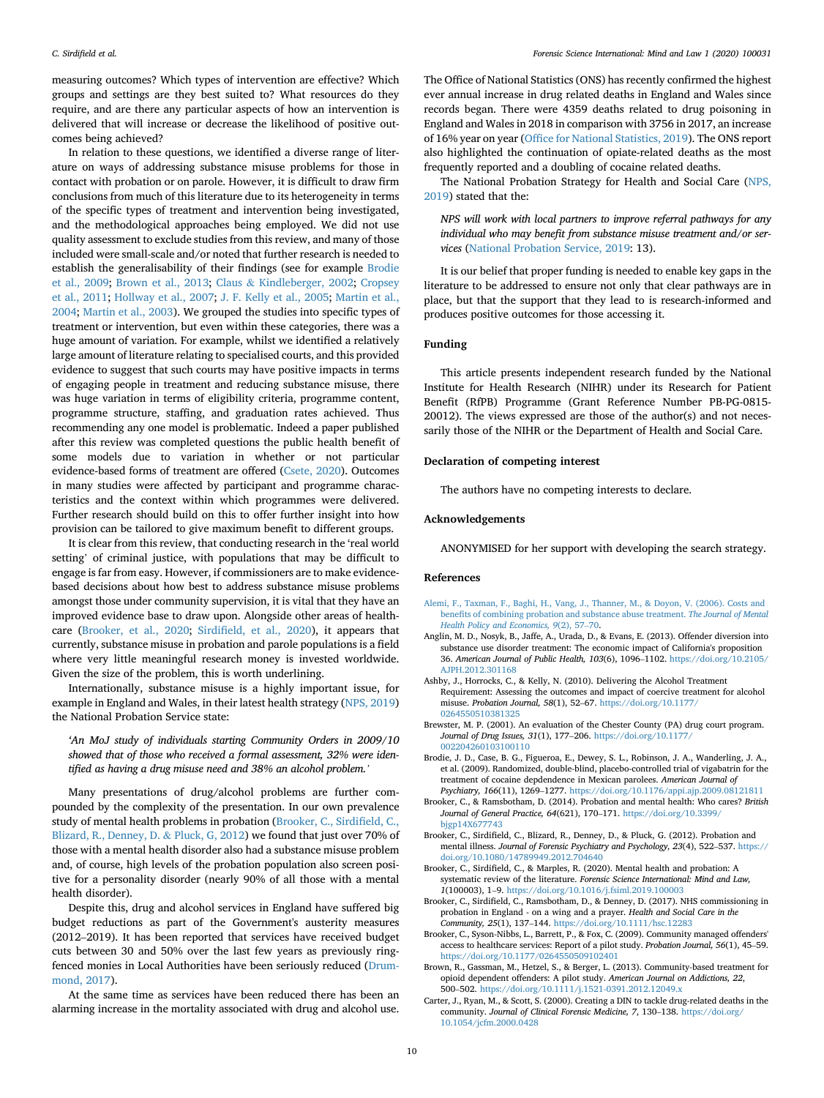measuring outcomes? Which types of intervention are effective? Which groups and settings are they best suited to? What resources do they require, and are there any particular aspects of how an intervention is delivered that will increase or decrease the likelihood of positive outcomes being achieved?

In relation to these questions, we identified a diverse range of literature on ways of addressing substance misuse problems for those in contact with probation or on parole. However, it is difficult to draw firm conclusions from much of this literature due to its heterogeneity in terms of the specific types of treatment and intervention being investigated, and the methodological approaches being employed. We did not use quality assessment to exclude studies from this review, and many of those included were small-scale and/or noted that further research is needed to establish the generalisability of their findings (see for example [Brodie](#page-9-9) [et al., 2009;](#page-9-9) [Brown et al., 2013](#page-9-7); [Claus](#page-10-22) & [Kindleberger, 2002;](#page-10-22) [Cropsey](#page-10-23) [et al., 2011;](#page-10-23) [Hollway et al., 2007;](#page-10-45) [J. F. Kelly et al., 2005;](#page-10-30) [Martin et al.,](#page-10-36) [2004;](#page-10-36) [Martin et al., 2003](#page-10-37)). We grouped the studies into specific types of treatment or intervention, but even within these categories, there was a huge amount of variation. For example, whilst we identified a relatively large amount of literature relating to specialised courts, and this provided evidence to suggest that such courts may have positive impacts in terms of engaging people in treatment and reducing substance misuse, there was huge variation in terms of eligibility criteria, programme content, programme structure, staffing, and graduation rates achieved. Thus recommending any one model is problematic. Indeed a paper published after this review was completed questions the public health benefit of some models due to variation in whether or not particular evidence-based forms of treatment are offered [\(Csete, 2020](#page-10-50)). Outcomes in many studies were affected by participant and programme characteristics and the context within which programmes were delivered. Further research should build on this to offer further insight into how provision can be tailored to give maximum benefit to different groups.

It is clear from this review, that conducting research in the 'real world setting' of criminal justice, with populations that may be difficult to engage is far from easy. However, if commissioners are to make evidencebased decisions about how best to address substance misuse problems amongst those under community supervision, it is vital that they have an improved evidence base to draw upon. Alongside other areas of healthcare [\(Brooker, et al., 2020;](#page-9-2) Sirdifi[eld, et al., 2020](#page-10-6)), it appears that currently, substance misuse in probation and parole populations is a field where very little meaningful research money is invested worldwide. Given the size of the problem, this is worth underlining.

Internationally, substance misuse is a highly important issue, for example in England and Wales, in their latest health strategy ([NPS, 2019\)](#page-10-51) the National Probation Service state:

'An MoJ study of individuals starting Community Orders in 2009/10 showed that of those who received a formal assessment, 32% were iden-tified as having a drug misuse need and 38% an alcohol problem.'

Many presentations of drug/alcohol problems are further compounded by the complexity of the presentation. In our own prevalence study of mental health problems in probation ([Brooker, C., Sirdi](#page-9-10)field, C., [Blizard, R., Denney, D.](#page-9-10) & [Pluck, G, 2012\)](#page-9-10) we found that just over 70% of those with a mental health disorder also had a substance misuse problem and, of course, high levels of the probation population also screen positive for a personality disorder (nearly 90% of all those with a mental health disorder).

Despite this, drug and alcohol services in England have suffered big budget reductions as part of the Government's austerity measures (2012–2019). It has been reported that services have received budget cuts between 30 and 50% over the last few years as previously ringfenced monies in Local Authorities have been seriously reduced [\(Drum](#page-10-52)[mond, 2017\)](#page-10-52).

At the same time as services have been reduced there has been an alarming increase in the mortality associated with drug and alcohol use.

The Office of National Statistics (ONS) has recently confirmed the highest ever annual increase in drug related deaths in England and Wales since records began. There were 4359 deaths related to drug poisoning in England and Wales in 2018 in comparison with 3756 in 2017, an increase of 16% year on year (Offi[ce for National Statistics, 2019](#page-10-53)). The ONS report also highlighted the continuation of opiate-related deaths as the most frequently reported and a doubling of cocaine related deaths.

The National Probation Strategy for Health and Social Care [\(NPS,](#page-10-51) [2019\)](#page-10-51) stated that the:

NPS will work with local partners to improve referral pathways for any individual who may benefit from substance misuse treatment and/or services [\(National Probation Service, 2019:](#page-10-51) 13).

It is our belief that proper funding is needed to enable key gaps in the literature to be addressed to ensure not only that clear pathways are in place, but that the support that they lead to is research-informed and produces positive outcomes for those accessing it.

# Funding

This article presents independent research funded by the National Institute for Health Research (NIHR) under its Research for Patient Benefit (RfPB) Programme (Grant Reference Number PB-PG-0815- 20012). The views expressed are those of the author(s) and not necessarily those of the NIHR or the Department of Health and Social Care.

# Declaration of competing interest

The authors have no competing interests to declare.

## Acknowledgements

ANONYMISED for her support with developing the search strategy.

#### References

- <span id="page-9-4"></span>[Alemi, F., Taxman, F., Baghi, H., Vang, J., Thanner, M., & Doyon, V. \(2006\). Costs and](http://refhub.elsevier.com/S2666-3538(20)30024-2/sref1) benefi[ts of combining probation and substance abuse treatment.](http://refhub.elsevier.com/S2666-3538(20)30024-2/sref1) The Journal of Mental [Health Policy and Economics, 9](http://refhub.elsevier.com/S2666-3538(20)30024-2/sref1)(2), 57–[70](http://refhub.elsevier.com/S2666-3538(20)30024-2/sref1).
- <span id="page-9-5"></span>Anglin, M. D., Nosyk, B., Jaffe, A., Urada, D., & Evans, E. (2013). Offender diversion into substance use disorder treatment: The economic impact of California's proposition 36. American Journal of Public Health, 103(6), 1096–1102. [https://doi.org/10.2105/](https://doi.org/10.2105/AJPH.2012.301168) [AJPH.2012.301168](https://doi.org/10.2105/AJPH.2012.301168)
- <span id="page-9-8"></span>Ashby, J., Horrocks, C., & Kelly, N. (2010). Delivering the Alcohol Treatment Requirement: Assessing the outcomes and impact of coercive treatment for alcohol misuse. Probation Journal, 58(1), 52–67. [https://doi.org/10.1177/](https://doi.org/10.1177/0264550510381325) [0264550510381325](https://doi.org/10.1177/0264550510381325)
- <span id="page-9-6"></span>Brewster, M. P. (2001). An evaluation of the Chester County (PA) drug court program. Journal of Drug Issues, 31(1), 177–206. [https://doi.org/10.1177/](https://doi.org/10.1177/002204260103100110) [002204260103100110](https://doi.org/10.1177/002204260103100110)
- <span id="page-9-9"></span>Brodie, J. D., Case, B. G., Figueroa, E., Dewey, S. L., Robinson, J. A., Wanderling, J. A., et al. (2009). Randomized, double-blind, placebo-controlled trial of vigabatrin for the treatment of cocaine depdendence in Mexican parolees. American Journal of Psychiatry, 166(11), 1269–1277. <https://doi.org/10.1176/appi.ajp.2009.08121811>
- <span id="page-9-0"></span>Brooker, C., & Ramsbotham, D. (2014). Probation and mental health: Who cares? British Journal of General Practice, 64(621), 170–171. [https://doi.org/10.3399/](https://doi.org/10.3399/bjgp14X677743) [bjgp14X677743](https://doi.org/10.3399/bjgp14X677743)
- <span id="page-9-10"></span>Brooker, C., Sirdifield, C., Blizard, R., Denney, D., & Pluck, G. (2012). Probation and mental illness. Journal of Forensic Psychiatry and Psychology, 23(4), 522–537. [https://](https://doi.org/10.1080/14789949.2012.704640) [doi.org/10.1080/14789949.2012.704640](https://doi.org/10.1080/14789949.2012.704640)
- <span id="page-9-2"></span>Brooker, C., Sirdifield, C., & Marples, R. (2020). Mental health and probation: A systematic review of the literature. Forensic Science International: Mind and Law, 1(100003), 1–9. <https://doi.org/10.1016/j.fsiml.2019.100003>
- <span id="page-9-1"></span>Brooker, C., Sirdifield, C., Ramsbotham, D., & Denney, D. (2017). NHS commissioning in probation in England - on a wing and a prayer. Health and Social Care in the
- <span id="page-9-11"></span>Community, 25(1), 137–144. <https://doi.org/10.1111/hsc.12283> Brooker, C., Syson-Nibbs, L., Barrett, P., & Fox, C. (2009). Community managed offenders' access to healthcare services: Report of a pilot study. Probation Journal, 56(1), 45–59. <https://doi.org/10.1177/0264550509102401>
- <span id="page-9-7"></span>Brown, R., Gassman, M., Hetzel, S., & Berger, L. (2013). Community-based treatment for opioid dependent offenders: A pilot study. American Journal on Addictions, 22, 500–502. <https://doi.org/10.1111/j.1521-0391.2012.12049.x>
- <span id="page-9-3"></span>Carter, J., Ryan, M., & Scott, S. (2000). Creating a DIN to tackle drug-related deaths in the community. Journal of Clinical Forensic Medicine, 7, 130–138. [https://doi.org/](https://doi.org/10.1054/jcfm.2000.0428) [10.1054/jcfm.2000.0428](https://doi.org/10.1054/jcfm.2000.0428)